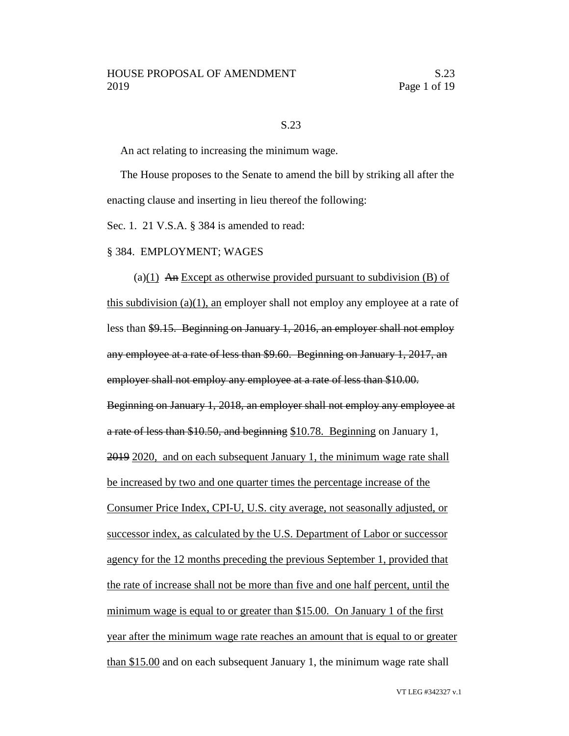### S.23

An act relating to increasing the minimum wage.

The House proposes to the Senate to amend the bill by striking all after the enacting clause and inserting in lieu thereof the following:

Sec. 1. 21 V.S.A. § 384 is amended to read:

### § 384. EMPLOYMENT; WAGES

(a) $(1)$  An Except as otherwise provided pursuant to subdivision (B) of this subdivision (a)(1), an employer shall not employ any employee at a rate of less than \$9.15. Beginning on January 1, 2016, an employer shall not employ any employee at a rate of less than \$9.60. Beginning on January 1, 2017, an employer shall not employ any employee at a rate of less than \$10.00. Beginning on January 1, 2018, an employer shall not employ any employee at a rate of less than \$10.50, and beginning \$10.78. Beginning on January 1, 2019 2020, and on each subsequent January 1, the minimum wage rate shall be increased by two and one quarter times the percentage increase of the Consumer Price Index, CPI-U, U.S. city average, not seasonally adjusted, or successor index, as calculated by the U.S. Department of Labor or successor agency for the 12 months preceding the previous September 1, provided that the rate of increase shall not be more than five and one half percent, until the minimum wage is equal to or greater than \$15.00. On January 1 of the first year after the minimum wage rate reaches an amount that is equal to or greater than \$15.00 and on each subsequent January 1, the minimum wage rate shall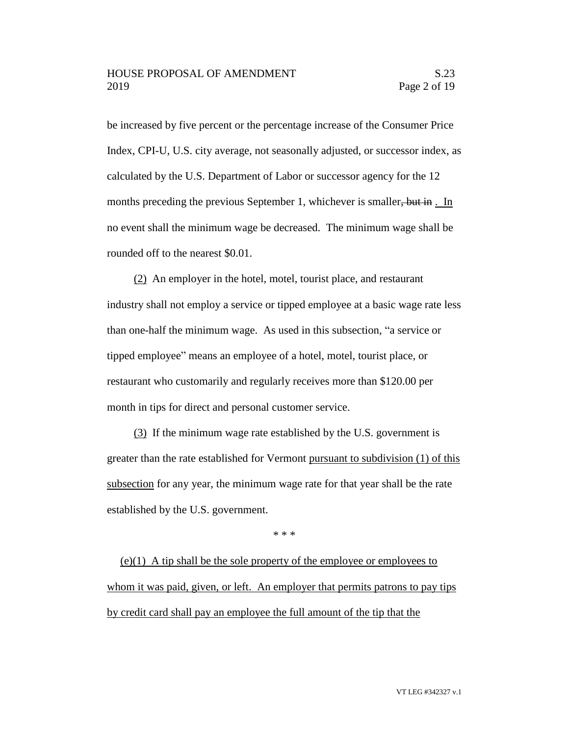be increased by five percent or the percentage increase of the Consumer Price Index, CPI-U, U.S. city average, not seasonally adjusted, or successor index, as calculated by the U.S. Department of Labor or successor agency for the 12 months preceding the previous September 1, whichever is smaller, but in . In no event shall the minimum wage be decreased. The minimum wage shall be rounded off to the nearest \$0.01.

(2) An employer in the hotel, motel, tourist place, and restaurant industry shall not employ a service or tipped employee at a basic wage rate less than one-half the minimum wage. As used in this subsection, "a service or tipped employee" means an employee of a hotel, motel, tourist place, or restaurant who customarily and regularly receives more than \$120.00 per month in tips for direct and personal customer service.

(3) If the minimum wage rate established by the U.S. government is greater than the rate established for Vermont pursuant to subdivision (1) of this subsection for any year, the minimum wage rate for that year shall be the rate established by the U.S. government.

\* \* \*

(e)(1) A tip shall be the sole property of the employee or employees to whom it was paid, given, or left. An employer that permits patrons to pay tips by credit card shall pay an employee the full amount of the tip that the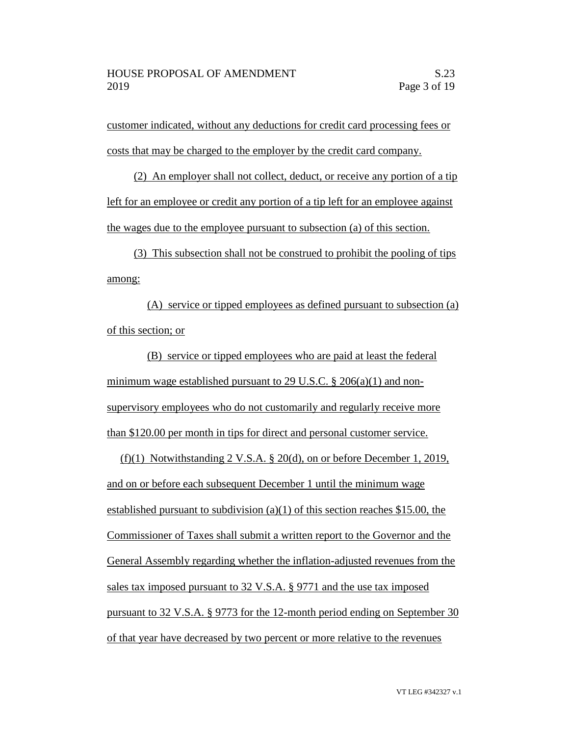customer indicated, without any deductions for credit card processing fees or costs that may be charged to the employer by the credit card company.

(2) An employer shall not collect, deduct, or receive any portion of a tip left for an employee or credit any portion of a tip left for an employee against the wages due to the employee pursuant to subsection (a) of this section.

(3) This subsection shall not be construed to prohibit the pooling of tips among:

(A) service or tipped employees as defined pursuant to subsection (a) of this section; or

(B) service or tipped employees who are paid at least the federal minimum wage established pursuant to 29 U.S.C. § 206(a)(1) and nonsupervisory employees who do not customarily and regularly receive more than \$120.00 per month in tips for direct and personal customer service.

(f)(1) Notwithstanding 2 V.S.A. § 20(d), on or before December 1, 2019, and on or before each subsequent December 1 until the minimum wage established pursuant to subdivision (a)(1) of this section reaches \$15.00, the Commissioner of Taxes shall submit a written report to the Governor and the General Assembly regarding whether the inflation-adjusted revenues from the sales tax imposed pursuant to 32 V.S.A. § 9771 and the use tax imposed pursuant to 32 V.S.A. § 9773 for the 12-month period ending on September 30 of that year have decreased by two percent or more relative to the revenues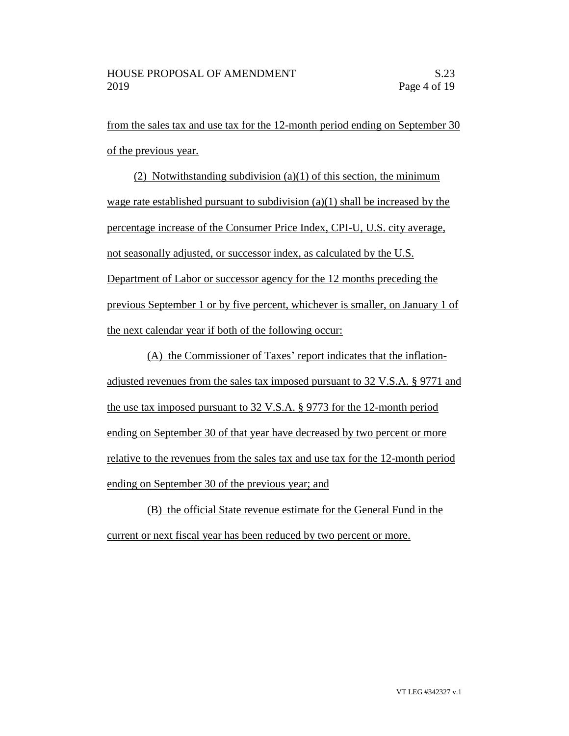from the sales tax and use tax for the 12-month period ending on September 30 of the previous year.

(2) Notwithstanding subdivision (a)(1) of this section, the minimum wage rate established pursuant to subdivision (a)(1) shall be increased by the percentage increase of the Consumer Price Index, CPI-U, U.S. city average, not seasonally adjusted, or successor index, as calculated by the U.S. Department of Labor or successor agency for the 12 months preceding the previous September 1 or by five percent, whichever is smaller, on January 1 of the next calendar year if both of the following occur:

(A) the Commissioner of Taxes' report indicates that the inflationadjusted revenues from the sales tax imposed pursuant to 32 V.S.A. § 9771 and the use tax imposed pursuant to 32 V.S.A. § 9773 for the 12-month period ending on September 30 of that year have decreased by two percent or more relative to the revenues from the sales tax and use tax for the 12-month period ending on September 30 of the previous year; and

(B) the official State revenue estimate for the General Fund in the current or next fiscal year has been reduced by two percent or more.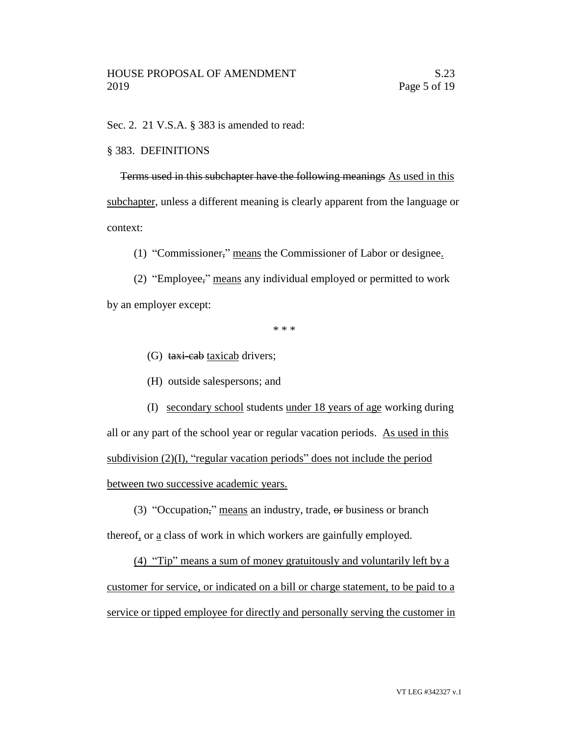Sec. 2. 21 V.S.A. § 383 is amended to read:

### § 383. DEFINITIONS

Terms used in this subchapter have the following meanings As used in this subchapter, unless a different meaning is clearly apparent from the language or context:

(1) "Commissioner," means the Commissioner of Labor or designee.

(2) "Employee," means any individual employed or permitted to work by an employer except:

\* \* \*

- (G) taxi-cab taxicab drivers;
- (H) outside salespersons; and

(I) secondary school students under 18 years of age working during all or any part of the school year or regular vacation periods. As used in this subdivision (2)(I), "regular vacation periods" does not include the period between two successive academic years.

(3) "Occupation," means an industry, trade, or business or branch thereof, or a class of work in which workers are gainfully employed.

(4) "Tip" means a sum of money gratuitously and voluntarily left by a customer for service, or indicated on a bill or charge statement, to be paid to a service or tipped employee for directly and personally serving the customer in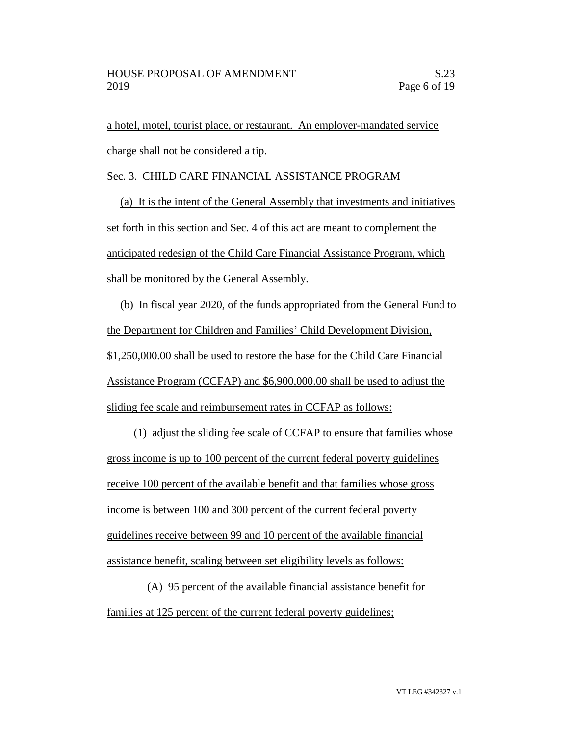a hotel, motel, tourist place, or restaurant. An employer-mandated service charge shall not be considered a tip.

Sec. 3. CHILD CARE FINANCIAL ASSISTANCE PROGRAM

(a) It is the intent of the General Assembly that investments and initiatives set forth in this section and Sec. 4 of this act are meant to complement the anticipated redesign of the Child Care Financial Assistance Program, which shall be monitored by the General Assembly.

(b) In fiscal year 2020, of the funds appropriated from the General Fund to the Department for Children and Families' Child Development Division, \$1,250,000.00 shall be used to restore the base for the Child Care Financial Assistance Program (CCFAP) and \$6,900,000.00 shall be used to adjust the sliding fee scale and reimbursement rates in CCFAP as follows:

(1) adjust the sliding fee scale of CCFAP to ensure that families whose gross income is up to 100 percent of the current federal poverty guidelines receive 100 percent of the available benefit and that families whose gross income is between 100 and 300 percent of the current federal poverty guidelines receive between 99 and 10 percent of the available financial assistance benefit, scaling between set eligibility levels as follows:

(A) 95 percent of the available financial assistance benefit for families at 125 percent of the current federal poverty guidelines;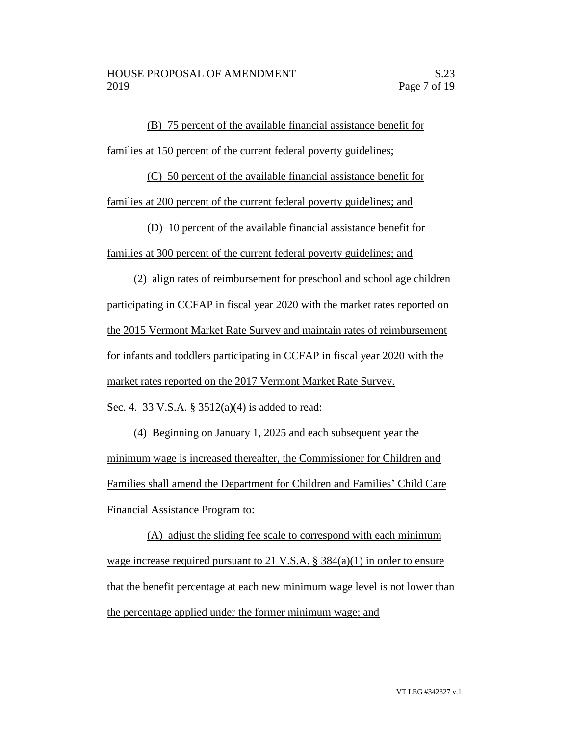(B) 75 percent of the available financial assistance benefit for families at 150 percent of the current federal poverty guidelines;

(C) 50 percent of the available financial assistance benefit for families at 200 percent of the current federal poverty guidelines; and

(D) 10 percent of the available financial assistance benefit for families at 300 percent of the current federal poverty guidelines; and

(2) align rates of reimbursement for preschool and school age children participating in CCFAP in fiscal year 2020 with the market rates reported on the 2015 Vermont Market Rate Survey and maintain rates of reimbursement for infants and toddlers participating in CCFAP in fiscal year 2020 with the market rates reported on the 2017 Vermont Market Rate Survey. Sec. 4. 33 V.S.A. § 3512(a)(4) is added to read:

(4) Beginning on January 1, 2025 and each subsequent year the minimum wage is increased thereafter, the Commissioner for Children and Families shall amend the Department for Children and Families' Child Care Financial Assistance Program to:

(A) adjust the sliding fee scale to correspond with each minimum wage increase required pursuant to 21 V.S.A. § 384(a)(1) in order to ensure that the benefit percentage at each new minimum wage level is not lower than the percentage applied under the former minimum wage; and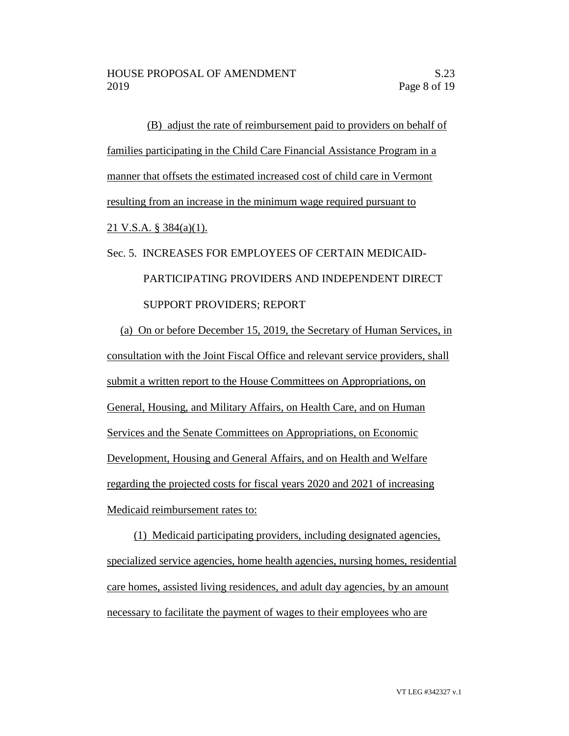(B) adjust the rate of reimbursement paid to providers on behalf of families participating in the Child Care Financial Assistance Program in a manner that offsets the estimated increased cost of child care in Vermont resulting from an increase in the minimum wage required pursuant to 21 V.S.A. § 384(a)(1).

# Sec. 5. INCREASES FOR EMPLOYEES OF CERTAIN MEDICAID- PARTICIPATING PROVIDERS AND INDEPENDENT DIRECT SUPPORT PROVIDERS; REPORT

(a) On or before December 15, 2019, the Secretary of Human Services, in consultation with the Joint Fiscal Office and relevant service providers, shall submit a written report to the House Committees on Appropriations, on General, Housing, and Military Affairs, on Health Care, and on Human Services and the Senate Committees on Appropriations, on Economic Development, Housing and General Affairs, and on Health and Welfare regarding the projected costs for fiscal years 2020 and 2021 of increasing Medicaid reimbursement rates to:

(1) Medicaid participating providers, including designated agencies, specialized service agencies, home health agencies, nursing homes, residential care homes, assisted living residences, and adult day agencies, by an amount necessary to facilitate the payment of wages to their employees who are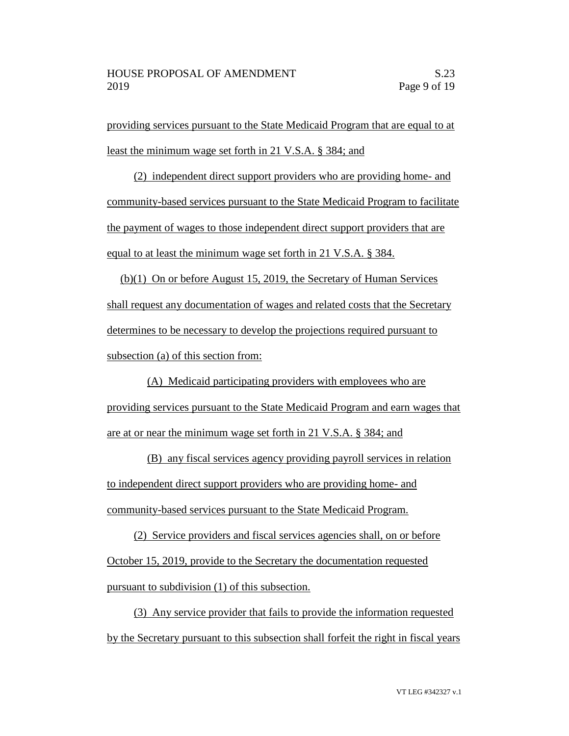providing services pursuant to the State Medicaid Program that are equal to at least the minimum wage set forth in 21 V.S.A. § 384; and

(2) independent direct support providers who are providing home- and community-based services pursuant to the State Medicaid Program to facilitate the payment of wages to those independent direct support providers that are equal to at least the minimum wage set forth in 21 V.S.A. § 384.

(b)(1) On or before August 15, 2019, the Secretary of Human Services shall request any documentation of wages and related costs that the Secretary determines to be necessary to develop the projections required pursuant to subsection (a) of this section from:

(A) Medicaid participating providers with employees who are providing services pursuant to the State Medicaid Program and earn wages that are at or near the minimum wage set forth in 21 V.S.A. § 384; and

(B) any fiscal services agency providing payroll services in relation to independent direct support providers who are providing home- and community-based services pursuant to the State Medicaid Program.

(2) Service providers and fiscal services agencies shall, on or before October 15, 2019, provide to the Secretary the documentation requested pursuant to subdivision (1) of this subsection.

(3) Any service provider that fails to provide the information requested by the Secretary pursuant to this subsection shall forfeit the right in fiscal years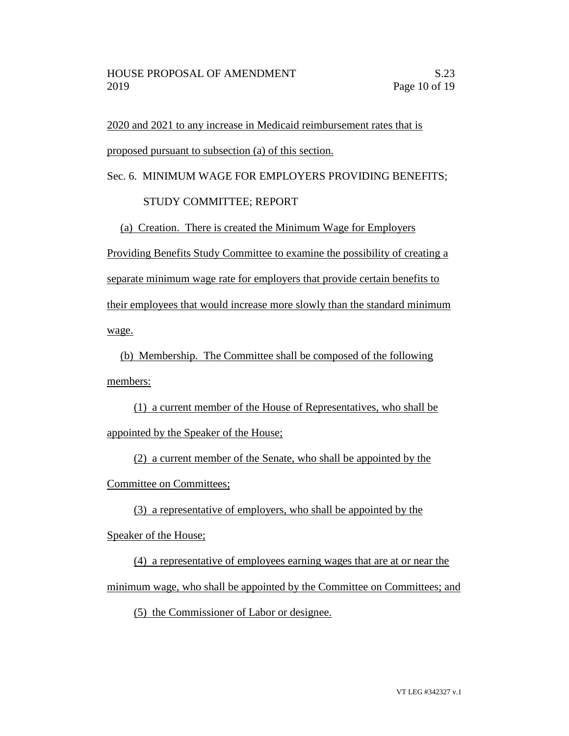2020 and 2021 to any increase in Medicaid reimbursement rates that is proposed pursuant to subsection (a) of this section.

Sec. 6. MINIMUM WAGE FOR EMPLOYERS PROVIDING BENEFITS;

## STUDY COMMITTEE; REPORT

(a) Creation. There is created the Minimum Wage for Employers

Providing Benefits Study Committee to examine the possibility of creating a separate minimum wage rate for employers that provide certain benefits to their employees that would increase more slowly than the standard minimum wage.

(b) Membership. The Committee shall be composed of the following members:

(1) a current member of the House of Representatives, who shall be appointed by the Speaker of the House;

(2) a current member of the Senate, who shall be appointed by the Committee on Committees;

(3) a representative of employers, who shall be appointed by the Speaker of the House;

(4) a representative of employees earning wages that are at or near the minimum wage, who shall be appointed by the Committee on Committees; and

(5) the Commissioner of Labor or designee.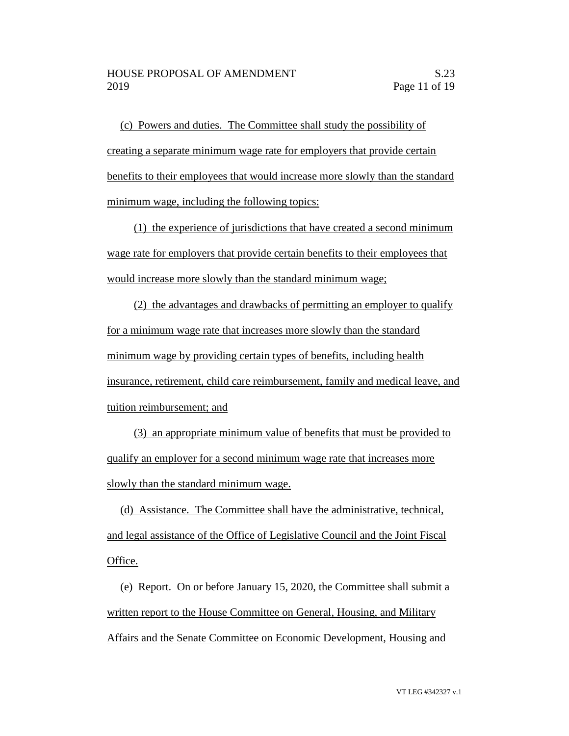(c) Powers and duties. The Committee shall study the possibility of creating a separate minimum wage rate for employers that provide certain benefits to their employees that would increase more slowly than the standard minimum wage, including the following topics:

(1) the experience of jurisdictions that have created a second minimum wage rate for employers that provide certain benefits to their employees that would increase more slowly than the standard minimum wage;

(2) the advantages and drawbacks of permitting an employer to qualify for a minimum wage rate that increases more slowly than the standard minimum wage by providing certain types of benefits, including health insurance, retirement, child care reimbursement, family and medical leave, and tuition reimbursement; and

(3) an appropriate minimum value of benefits that must be provided to qualify an employer for a second minimum wage rate that increases more slowly than the standard minimum wage.

(d) Assistance. The Committee shall have the administrative, technical, and legal assistance of the Office of Legislative Council and the Joint Fiscal Office.

(e) Report. On or before January 15, 2020, the Committee shall submit a written report to the House Committee on General, Housing, and Military Affairs and the Senate Committee on Economic Development, Housing and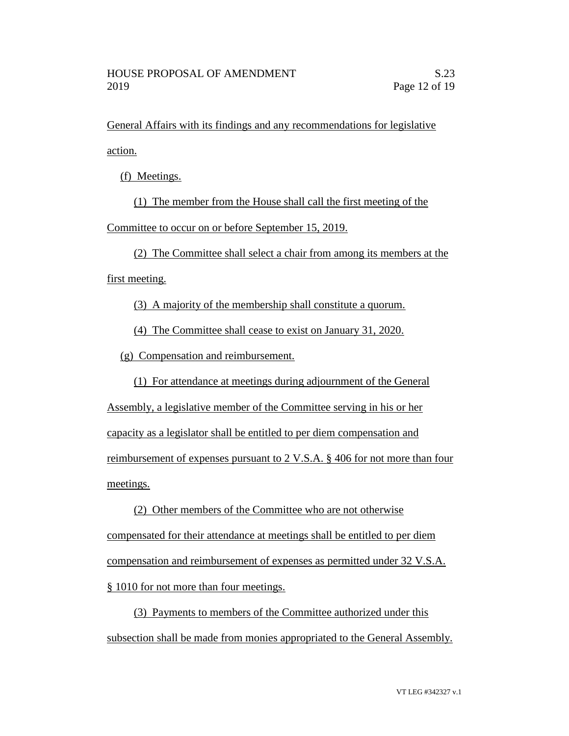General Affairs with its findings and any recommendations for legislative action.

(f) Meetings.

(1) The member from the House shall call the first meeting of the Committee to occur on or before September 15, 2019.

(2) The Committee shall select a chair from among its members at the first meeting.

(3) A majority of the membership shall constitute a quorum.

(4) The Committee shall cease to exist on January 31, 2020.

(g) Compensation and reimbursement.

(1) For attendance at meetings during adjournment of the General

Assembly, a legislative member of the Committee serving in his or her

capacity as a legislator shall be entitled to per diem compensation and

reimbursement of expenses pursuant to 2 V.S.A. § 406 for not more than four meetings.

(2) Other members of the Committee who are not otherwise compensated for their attendance at meetings shall be entitled to per diem compensation and reimbursement of expenses as permitted under 32 V.S.A. § 1010 for not more than four meetings.

(3) Payments to members of the Committee authorized under this subsection shall be made from monies appropriated to the General Assembly.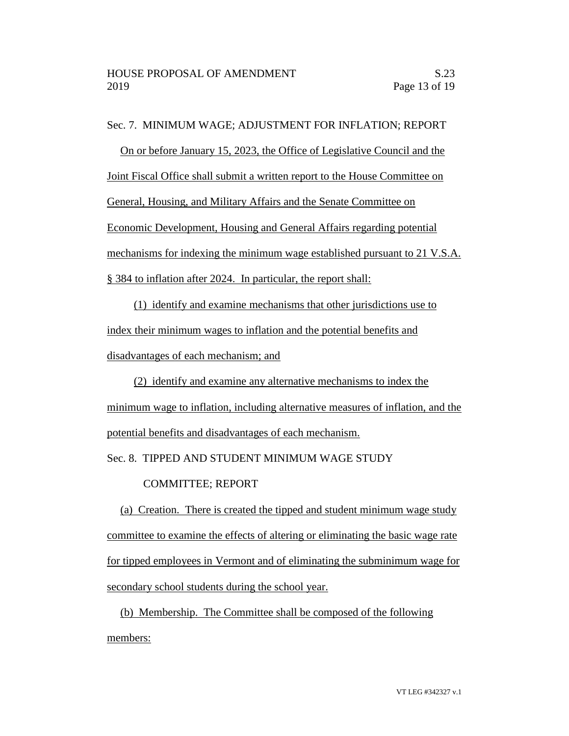Sec. 7. MINIMUM WAGE; ADJUSTMENT FOR INFLATION; REPORT

On or before January 15, 2023, the Office of Legislative Council and the

Joint Fiscal Office shall submit a written report to the House Committee on

General, Housing, and Military Affairs and the Senate Committee on

Economic Development, Housing and General Affairs regarding potential

mechanisms for indexing the minimum wage established pursuant to 21 V.S.A.

§ 384 to inflation after 2024. In particular, the report shall:

(1) identify and examine mechanisms that other jurisdictions use to index their minimum wages to inflation and the potential benefits and disadvantages of each mechanism; and

(2) identify and examine any alternative mechanisms to index the minimum wage to inflation, including alternative measures of inflation, and the potential benefits and disadvantages of each mechanism.

Sec. 8. TIPPED AND STUDENT MINIMUM WAGE STUDY

COMMITTEE; REPORT

(a) Creation. There is created the tipped and student minimum wage study committee to examine the effects of altering or eliminating the basic wage rate for tipped employees in Vermont and of eliminating the subminimum wage for secondary school students during the school year.

(b) Membership. The Committee shall be composed of the following members: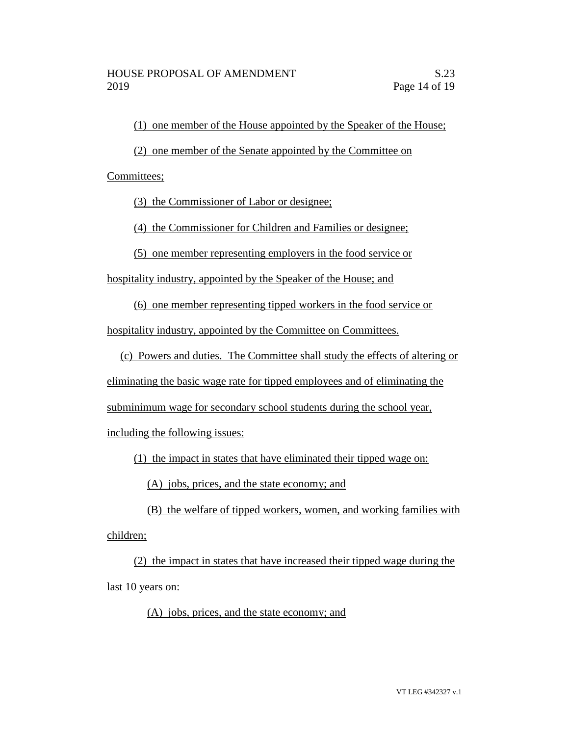(1) one member of the House appointed by the Speaker of the House;

(2) one member of the Senate appointed by the Committee on

Committees;

(3) the Commissioner of Labor or designee;

(4) the Commissioner for Children and Families or designee;

(5) one member representing employers in the food service or

hospitality industry, appointed by the Speaker of the House; and

(6) one member representing tipped workers in the food service or

hospitality industry, appointed by the Committee on Committees.

(c) Powers and duties. The Committee shall study the effects of altering or

eliminating the basic wage rate for tipped employees and of eliminating the

subminimum wage for secondary school students during the school year,

including the following issues:

(1) the impact in states that have eliminated their tipped wage on:

(A) jobs, prices, and the state economy; and

(B) the welfare of tipped workers, women, and working families with children;

(2) the impact in states that have increased their tipped wage during the last 10 years on:

(A) jobs, prices, and the state economy; and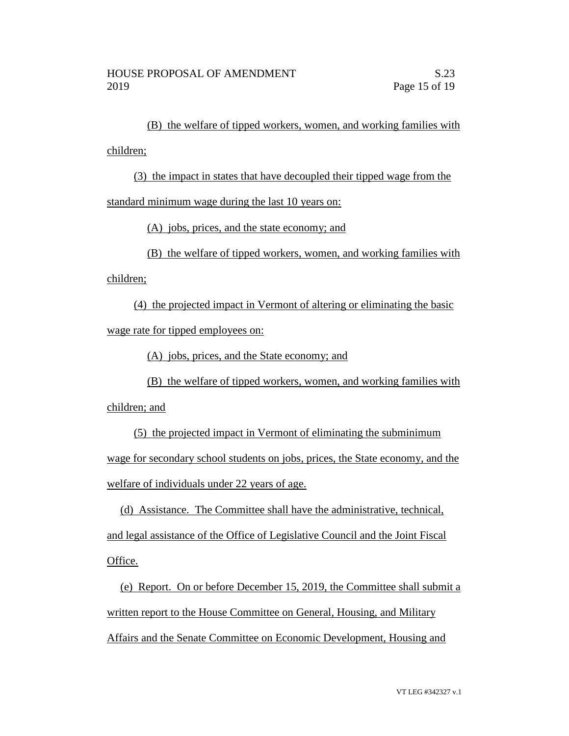(B) the welfare of tipped workers, women, and working families with children;

(3) the impact in states that have decoupled their tipped wage from the

standard minimum wage during the last 10 years on:

(A) jobs, prices, and the state economy; and

(B) the welfare of tipped workers, women, and working families with

children;

(4) the projected impact in Vermont of altering or eliminating the basic wage rate for tipped employees on:

(A) jobs, prices, and the State economy; and

(B) the welfare of tipped workers, women, and working families with children; and

(5) the projected impact in Vermont of eliminating the subminimum wage for secondary school students on jobs, prices, the State economy, and the welfare of individuals under 22 years of age.

(d) Assistance. The Committee shall have the administrative, technical, and legal assistance of the Office of Legislative Council and the Joint Fiscal Office.

(e) Report. On or before December 15, 2019, the Committee shall submit a written report to the House Committee on General, Housing, and Military Affairs and the Senate Committee on Economic Development, Housing and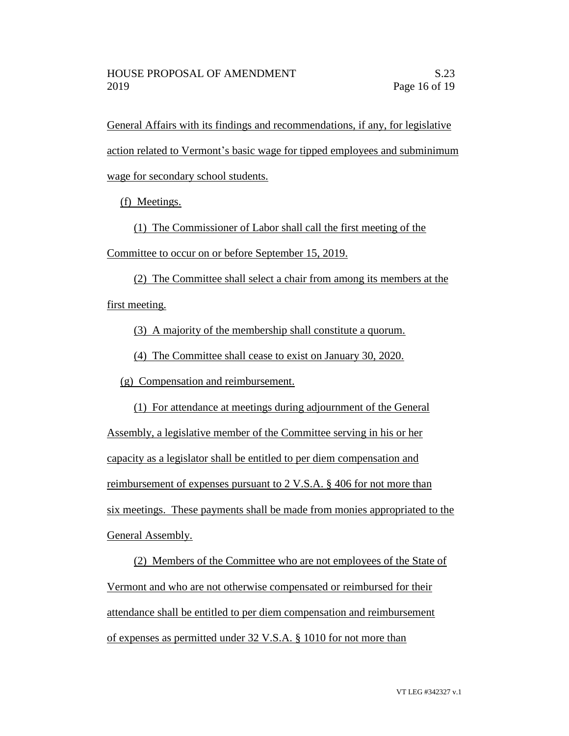General Affairs with its findings and recommendations, if any, for legislative action related to Vermont's basic wage for tipped employees and subminimum wage for secondary school students.

(f) Meetings.

(1) The Commissioner of Labor shall call the first meeting of the

Committee to occur on or before September 15, 2019.

(2) The Committee shall select a chair from among its members at the first meeting.

(3) A majority of the membership shall constitute a quorum.

(4) The Committee shall cease to exist on January 30, 2020.

(g) Compensation and reimbursement.

(1) For attendance at meetings during adjournment of the General Assembly, a legislative member of the Committee serving in his or her capacity as a legislator shall be entitled to per diem compensation and reimbursement of expenses pursuant to 2 V.S.A. § 406 for not more than six meetings. These payments shall be made from monies appropriated to the General Assembly.

(2) Members of the Committee who are not employees of the State of Vermont and who are not otherwise compensated or reimbursed for their attendance shall be entitled to per diem compensation and reimbursement of expenses as permitted under 32 V.S.A. § 1010 for not more than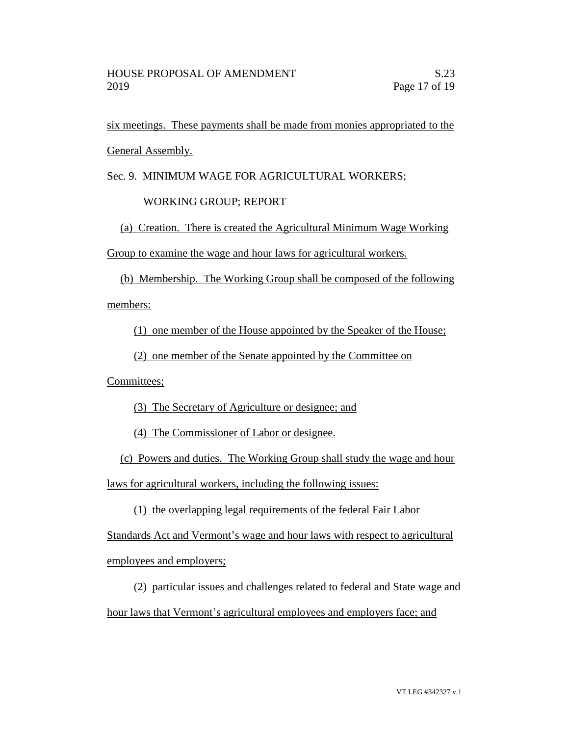six meetings. These payments shall be made from monies appropriated to the General Assembly.

Sec. 9. MINIMUM WAGE FOR AGRICULTURAL WORKERS;

## WORKING GROUP; REPORT

(a) Creation. There is created the Agricultural Minimum Wage Working Group to examine the wage and hour laws for agricultural workers.

(b) Membership. The Working Group shall be composed of the following members:

(1) one member of the House appointed by the Speaker of the House;

(2) one member of the Senate appointed by the Committee on

Committees;

(3) The Secretary of Agriculture or designee; and

(4) The Commissioner of Labor or designee.

(c) Powers and duties. The Working Group shall study the wage and hour laws for agricultural workers, including the following issues:

(1) the overlapping legal requirements of the federal Fair Labor

Standards Act and Vermont's wage and hour laws with respect to agricultural employees and employers;

(2) particular issues and challenges related to federal and State wage and hour laws that Vermont's agricultural employees and employers face; and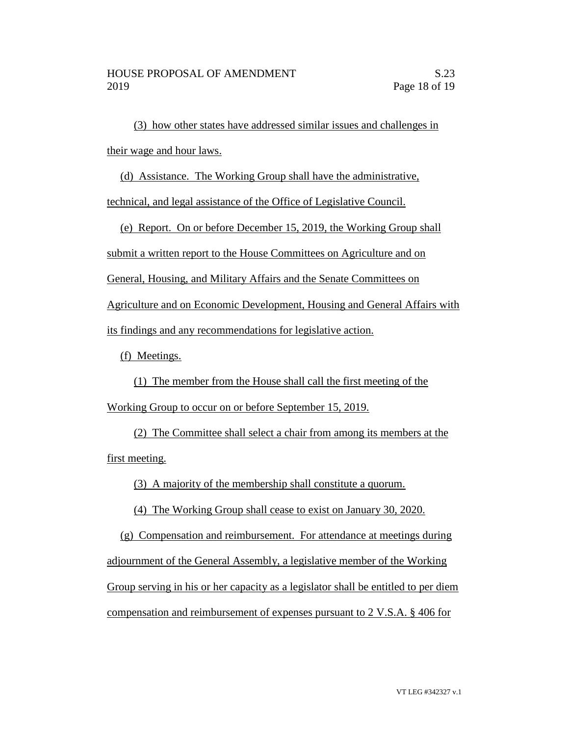(3) how other states have addressed similar issues and challenges in their wage and hour laws.

(d) Assistance. The Working Group shall have the administrative,

technical, and legal assistance of the Office of Legislative Council.

(e) Report. On or before December 15, 2019, the Working Group shall

submit a written report to the House Committees on Agriculture and on

General, Housing, and Military Affairs and the Senate Committees on

Agriculture and on Economic Development, Housing and General Affairs with

its findings and any recommendations for legislative action.

(f) Meetings.

(1) The member from the House shall call the first meeting of the Working Group to occur on or before September 15, 2019.

(2) The Committee shall select a chair from among its members at the first meeting.

(3) A majority of the membership shall constitute a quorum.

(4) The Working Group shall cease to exist on January 30, 2020.

(g) Compensation and reimbursement. For attendance at meetings during adjournment of the General Assembly, a legislative member of the Working Group serving in his or her capacity as a legislator shall be entitled to per diem compensation and reimbursement of expenses pursuant to 2 V.S.A. § 406 for